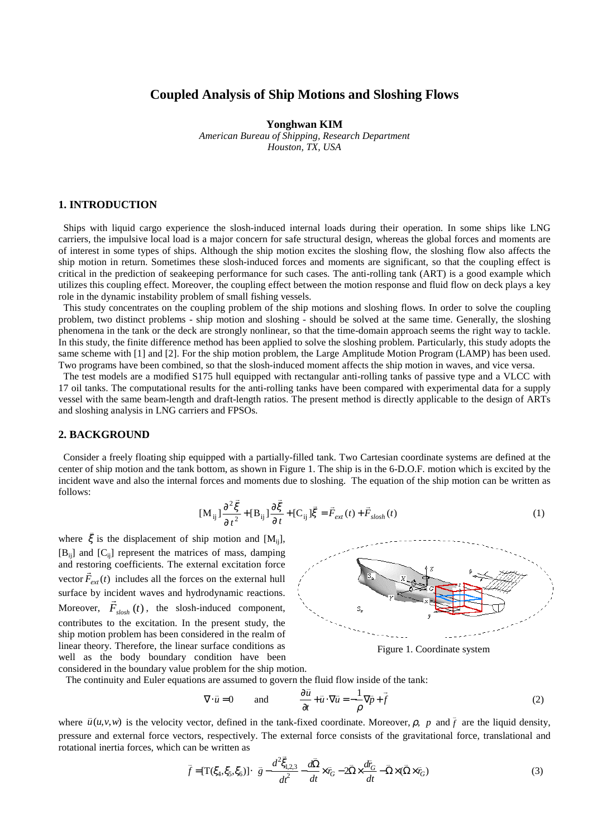# **Coupled Analysis of Ship Motions and Sloshing Flows**

**Yonghwan KIM**

*American Bureau of Shipping, Research Department Houston, TX, USA*

## **1. INTRODUCTION**

 Ships with liquid cargo experience the slosh-induced internal loads during their operation. In some ships like LNG carriers, the impulsive local load is a major concern for safe structural design, whereas the global forces and moments are of interest in some types of ships. Although the ship motion excites the sloshing flow, the sloshing flow also affects the ship motion in return. Sometimes these slosh-induced forces and moments are significant, so that the coupling effect is critical in the prediction of seakeeping performance for such cases. The anti-rolling tank (ART) is a good example which utilizes this coupling effect. Moreover, the coupling effect between the motion response and fluid flow on deck plays a key role in the dynamic instability problem of small fishing vessels.

 This study concentrates on the coupling problem of the ship motions and sloshing flows. In order to solve the coupling problem, two distinct problems - ship motion and sloshing - should be solved at the same time. Generally, the sloshing phenomena in the tank or the deck are strongly nonlinear, so that the time-domain approach seems the right way to tackle. In this study, the finite difference method has been applied to solve the sloshing problem. Particularly, this study adopts the same scheme with [1] and [2]. For the ship motion problem, the Large Amplitude Motion Program (LAMP) has been used. Two programs have been combined, so that the slosh-induced moment affects the ship motion in waves, and vice versa.

 The test models are a modified S175 hull equipped with rectangular anti-rolling tanks of passive type and a VLCC with 17 oil tanks. The computational results for the anti-rolling tanks have been compared with experimental data for a supply vessel with the same beam-length and draft-length ratios. The present method is directly applicable to the design of ARTs and sloshing analysis in LNG carriers and FPSOs.

#### **2. BACKGROUND**

 Consider a freely floating ship equipped with a partially-filled tank. Two Cartesian coordinate systems are defined at the center of ship motion and the tank bottom, as shown in Figure 1. The ship is in the 6-D.O.F. motion which is excited by the incident wave and also the internal forces and moments due to sloshing. The equation of the ship motion can be written as follows:

$$
[\mathbf{M}_{ij}] \frac{\partial^2 \vec{\xi}}{\partial t^2} + [\mathbf{B}_{ij}] \frac{\partial \vec{\xi}}{\partial t} + [\mathbf{C}_{ij}] \vec{\xi} = \vec{F}_{ext}(t) + \vec{F}_{slosh}(t)
$$
(1)

where  $\bar{\xi}$  is the displacement of ship motion and [M<sub>ij</sub>],  $[B_{ii}]$  and  $[C_{ii}]$  represent the matrices of mass, damping and restoring coefficients. The external excitation force vector  $\vec{F}_{ext}(t)$  includes all the forces on the external hull surface by incident waves and hydrodynamic reactions. Moreover,  $\vec{F}_{\text{slow}}(t)$ , the slosh-induced component, contributes to the excitation. In the present study, the ship motion problem has been considered in the realm of linear theory. Therefore, the linear surface conditions as well as the body boundary condition have been considered in the boundary value problem for the ship motion.



Figure 1. Coordinate system

The continuity and Euler equations are assumed to govern the fluid flow inside of the tank:

$$
\nabla \cdot \vec{u} = 0 \quad \text{and} \quad \frac{\partial \vec{u}}{\partial t} + \vec{u} \cdot \nabla \vec{u} = -\frac{1}{\rho} \nabla \vec{p} + \vec{f} \tag{2}
$$

where  $\vec{u}(u,v,w)$  is the velocity vector, defined in the tank-fixed coordinate. Moreover,  $\rho$ ,  $p$  and  $\vec{f}$  are the liquid density, pressure and external force vectors, respectively. The external force consists of the gravitational force, translational and rotational inertia forces, which can be written as

and the contract of the contract of the contract of the contract of the contract of the contract of the contract of

$$
\vec{f} = [\mathbf{T}(\xi_4, \xi_5, \xi_6)] \cdot \left( \vec{g} - \frac{d^2 \vec{\xi}_{1,2,3}}{dt^2} - \frac{d\vec{\Omega}}{dt} \times \vec{r}_G - 2\vec{\Omega} \times \frac{d\vec{r}_G}{dt} - \vec{\Omega} \times (\vec{\Omega} \times \vec{r}_G) \right)
$$
(3)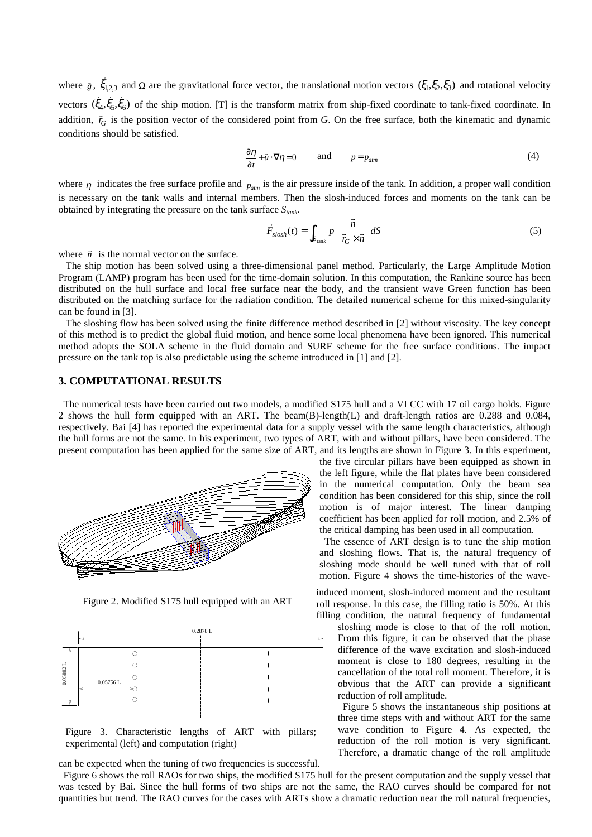where  $\bar{g}$ ,  $\bar{\zeta}_{1,2,3}$  and  $\bar{\Omega}$  are the gravitational force vector, the translational motion vectors  $(\zeta_1, \zeta_2, \zeta_3)$  and rotational velocity vectors  $(\dot{\xi}_4, \dot{\xi}_5, \dot{\xi}_6)$  of the ship motion. [T] is the transform matrix from ship-fixed coordinate to tank-fixed coordinate. In addition,  $\vec{r}_G$  is the position vector of the considered point from *G*. On the free surface, both the kinematic and dynamic conditions should be satisfied.

$$
\frac{\partial \eta}{\partial t} + \bar{u} \cdot \nabla \eta = 0 \qquad \text{and} \qquad p = p_{\text{atm}} \tag{4}
$$

where  $\eta$  indicates the free surface profile and  $p_{\text{atm}}$  is the air pressure inside of the tank. In addition, a proper wall condition is necessary on the tank walls and internal members. Then the slosh-induced forces and moments on the tank can be obtained by integrating the pressure on the tank surface *Stank* .

$$
\vec{F}_{slosh}(t) = \int_{S_{\text{tank}}} P\left(\frac{\vec{n}}{\vec{r}_G \times \vec{n}}\right) dS \tag{5}
$$

where  $\vec{n}$  is the normal vector on the surface.

 The ship motion has been solved using a three-dimensional panel method. Particularly, the Large Amplitude Motion Program (LAMP) program has been used for the time-domain solution. In this computation, the Rankine source has been distributed on the hull surface and local free surface near the body, and the transient wave Green function has been distributed on the matching surface for the radiation condition. The detailed numerical scheme for this mixed-singularity can be found in [3].

 The sloshing flow has been solved using the finite difference method described in [2] without viscosity. The key concept of this method is to predict the global fluid motion, and hence some local phenomena have been ignored. This numerical method adopts the SOLA scheme in the fluid domain and SURF scheme for the free surface conditions. The impact pressure on the tank top is also predictable using the scheme introduced in [1] and [2].

### **3. COMPUTATIONAL RESULTS**

 The numerical tests have been carried out two models, a modified S175 hull and a VLCC with 17 oil cargo holds. Figure 2 shows the hull form equipped with an ART. The beam(B)-length(L) and draft-length ratios are 0.288 and 0.084, respectively. Bai [4] has reported the experimental data for a supply vessel with the same length characteristics, although the hull forms are not the same. In his experiment, two types of ART, with and without pillars, have been considered. The present computation has been applied for the same size of ART, and its lengths are shown in Figure 3. In this experiment,



Figure 2. Modified S175 hull equipped with an ART



Figure 3. Characteristic lengths of ART with pillars; experimental (left) and computation (right)

can be expected when the tuning of two frequencies is successful.

 Figure 6 shows the roll RAOs for two ships, the modified S175 hull for the present computation and the supply vessel that was tested by Bai. Since the hull forms of two ships are not the same, the RAO curves should be compared for not quantities but trend. The RAO curves for the cases with ARTs show a dramatic reduction near the roll natural frequencies,

the five circular pillars have been equipped as shown in the left figure, while the flat plates have been considered in the numerical computation. Only the beam sea condition has been considered for this ship, since the roll motion is of major interest. The linear damping coefficient has been applied for roll motion, and 2.5% of the critical damping has been used in all computation.

 The essence of ART design is to tune the ship motion and sloshing flows. That is, the natural frequency of sloshing mode should be well tuned with that of roll motion. Figure 4 shows the time-histories of the wave-

induced moment, slosh-induced moment and the resultant roll response. In this case, the filling ratio is 50%. At this filling condition, the natural frequency of fundamental

sloshing mode is close to that of the roll motion. From this figure, it can be observed that the phase difference of the wave excitation and slosh-induced moment is close to 180 degrees, resulting in the cancellation of the total roll moment. Therefore, it is obvious that the ART can provide a significant reduction of roll amplitude.

 Figure 5 shows the instantaneous ship positions at three time steps with and without ART for the same wave condition to Figure 4. As expected, the reduction of the roll motion is very significant. Therefore, a dramatic change of the roll amplitude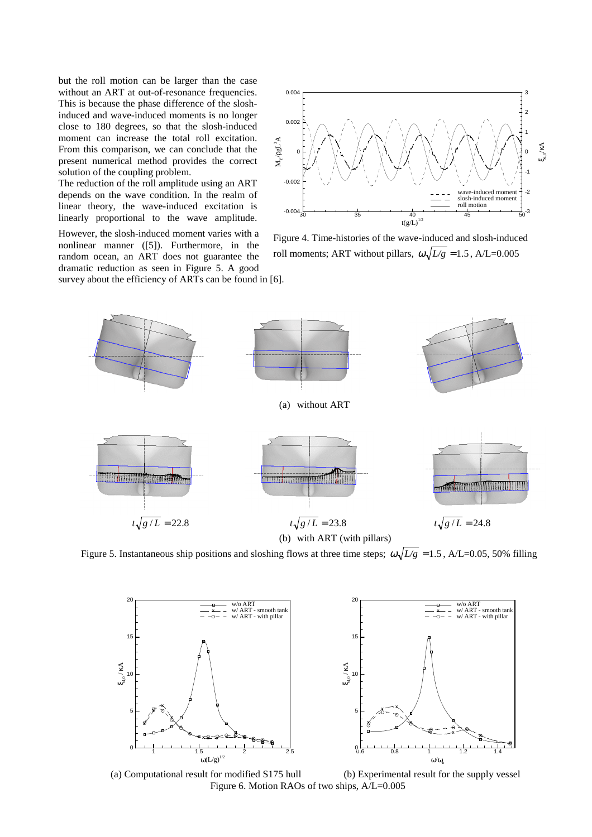but the roll motion can be larger than the case without an ART at out-of-resonance frequencies. This is because the phase difference of the sloshinduced and wave-induced moments is no longer close to 180 degrees, so that the slosh-induced moment can increase the total roll excitation. From this comparison, we can conclude that the present numerical method provides the correct solution of the coupling problem.

The reduction of the roll amplitude using an ART depends on the wave condition. In the realm of linear theory, the wave-induced excitation is linearly proportional to the wave amplitude.

However, the slosh-induced moment varies with a nonlinear manner ([5]). Furthermore, in the random ocean, an ART does not guarantee the dramatic reduction as seen in Figure 5. A good

survey about the efficiency of ARTs can be found in [6].



Figure 4. Time-histories of the wave-induced and slosh-induced roll moments; ART without pillars,  $\omega \sqrt{L/g} = 1.5$ , A/L=0.005



Figure 5. Instantaneous ship positions and sloshing flows at three time steps;  $\omega \sqrt{L/g} = 1.5$ , A/L=0.05, 50% filling





 (a) Computational result for modified S175 hull (b) Experimental result for the supply vessel Figure 6. Motion RAOs of two ships, A/L=0.005